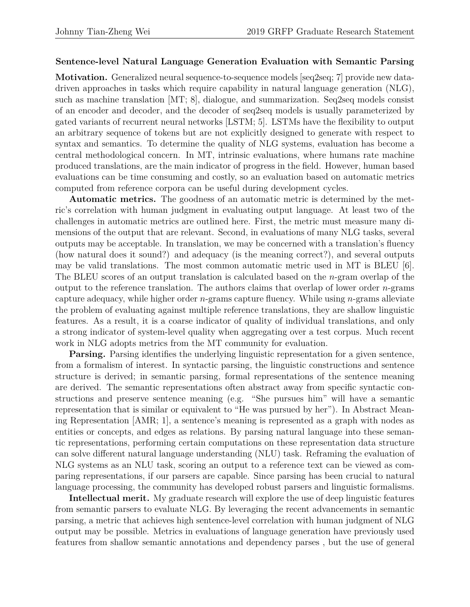## **Sentence-level Natural Language Generation Evaluation with Semantic Parsing**

**Motivation.** Generalized neural sequence-to-sequence models [seq2seq; 7] provide new datadriven approaches in tasks which require capability in natural language generation (NLG), such as machine translation [MT; 8], dialogue, and summarization. Seq2seq models consist of an encoder and decoder, and the decoder of seq2seq models is usually parameterized by gated variants of recurrent neural networks [LSTM; 5]. LSTMs have the flexibility to output an arbitrary sequence of tokens but are not explicitly designed to generate with respect to syntax and semantics. To determine the quality of NLG systems, evaluation has become a central methodological concern. In MT, intrinsic evaluations, where humans rate machine produced translations, are the main indicator of progress in the field. However, human based evaluations can be time consuming and costly, so an evaluation based on automatic metrics computed from reference corpora can be useful during development cycles.

**Automatic metrics.** The goodness of an automatic metric is determined by the metric's correlation with human judgment in evaluating output language. At least two of the challenges in automatic metrics are outlined here. First, the metric must measure many dimensions of the output that are relevant. Second, in evaluations of many NLG tasks, several outputs may be acceptable. In translation, we may be concerned with a translation's fluency (how natural does it sound?) and adequacy (is the meaning correct?), and several outputs may be valid translations. The most common automatic metric used in MT is BLEU [6]. The BLEU scores of an output translation is calculated based on the *n*-gram overlap of the output to the reference translation. The authors claims that overlap of lower order *n*-grams capture adequacy, while higher order *n*-grams capture fluency. While using *n*-grams alleviate the problem of evaluating against multiple reference translations, they are shallow linguistic features. As a result, it is a coarse indicator of quality of individual translations, and only a strong indicator of system-level quality when aggregating over a test corpus. Much recent work in NLG adopts metrics from the MT community for evaluation.

**Parsing.** Parsing identifies the underlying linguistic representation for a given sentence, from a formalism of interest. In syntactic parsing, the linguistic constructions and sentence structure is derived; in semantic parsing, formal representations of the sentence meaning are derived. The semantic representations often abstract away from specific syntactic constructions and preserve sentence meaning (e.g. "She pursues him" will have a semantic representation that is similar or equivalent to "He was pursued by her"). In Abstract Meaning Representation [AMR; 1], a sentence's meaning is represented as a graph with nodes as entities or concepts, and edges as relations. By parsing natural language into these semantic representations, performing certain computations on these representation data structure can solve different natural language understanding (NLU) task. Reframing the evaluation of NLG systems as an NLU task, scoring an output to a reference text can be viewed as comparing representations, if our parsers are capable. Since parsing has been crucial to natural language processing, the community has developed robust parsers and linguistic formalisms.

**Intellectual merit.** My graduate research will explore the use of deep linguistic features from semantic parsers to evaluate NLG. By leveraging the recent advancements in semantic parsing, a metric that achieves high sentence-level correlation with human judgment of NLG output may be possible. Metrics in evaluations of language generation have previously used features from shallow semantic annotations and dependency parses , but the use of general